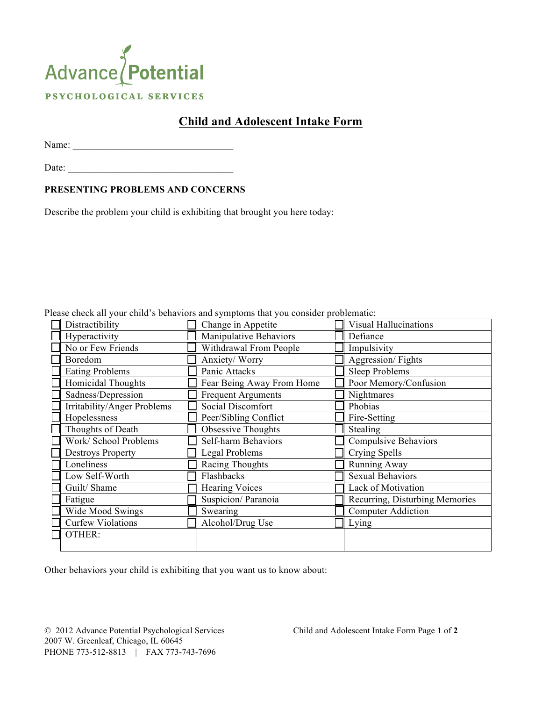## Advance Potential PSYCHOLOGICAL SERVICES

## **Child and Adolescent Intake Form**

Name: \_\_\_\_\_\_\_\_\_\_\_\_\_\_\_\_\_\_\_\_\_\_\_\_\_\_\_\_\_\_\_\_\_

Date:

## **PRESENTING PROBLEMS AND CONCERNS**

Describe the problem your child is exhibiting that brought you here today:

| Tease check all your child s behaviors and symptoms that you consider problematic: |  |                           |  |                                |  |  |  |  |  |
|------------------------------------------------------------------------------------|--|---------------------------|--|--------------------------------|--|--|--|--|--|
| Distractibility                                                                    |  | Change in Appetite        |  | <b>Visual Hallucinations</b>   |  |  |  |  |  |
| Hyperactivity                                                                      |  | Manipulative Behaviors    |  | Defiance                       |  |  |  |  |  |
| No or Few Friends                                                                  |  | Withdrawal From People    |  | Impulsivity                    |  |  |  |  |  |
| Boredom                                                                            |  | Anxiety/ Worry            |  | Aggression/Fights              |  |  |  |  |  |
| <b>Eating Problems</b>                                                             |  | Panic Attacks             |  | <b>Sleep Problems</b>          |  |  |  |  |  |
| Homicidal Thoughts                                                                 |  | Fear Being Away From Home |  | Poor Memory/Confusion          |  |  |  |  |  |
| Sadness/Depression                                                                 |  | <b>Frequent Arguments</b> |  | Nightmares                     |  |  |  |  |  |
| Irritability/Anger Problems                                                        |  | Social Discomfort         |  | Phobias                        |  |  |  |  |  |
| Hopelessness                                                                       |  | Peer/Sibling Conflict     |  | Fire-Setting                   |  |  |  |  |  |
| Thoughts of Death                                                                  |  | Obsessive Thoughts        |  | Stealing                       |  |  |  |  |  |
| Work/ School Problems                                                              |  | Self-harm Behaviors       |  | <b>Compulsive Behaviors</b>    |  |  |  |  |  |
| <b>Destroys Property</b>                                                           |  | <b>Legal Problems</b>     |  | Crying Spells                  |  |  |  |  |  |
| Loneliness                                                                         |  | Racing Thoughts           |  | Running Away                   |  |  |  |  |  |
| Low Self-Worth                                                                     |  | Flashbacks                |  | <b>Sexual Behaviors</b>        |  |  |  |  |  |
| Guilt/Shame                                                                        |  | <b>Hearing Voices</b>     |  | Lack of Motivation             |  |  |  |  |  |
| Fatigue                                                                            |  | Suspicion/Paranoia        |  | Recurring, Disturbing Memories |  |  |  |  |  |
| Wide Mood Swings                                                                   |  | Swearing                  |  | <b>Computer Addiction</b>      |  |  |  |  |  |
| <b>Curfew Violations</b>                                                           |  | Alcohol/Drug Use          |  | Lying                          |  |  |  |  |  |
| OTHER:                                                                             |  |                           |  |                                |  |  |  |  |  |
|                                                                                    |  |                           |  |                                |  |  |  |  |  |

Please check all your child's behaviors and symptoms that you consider problematic

Other behaviors your child is exhibiting that you want us to know about:

© 2012 Advance Potential Psychological Services Child and Adolescent Intake Form Page **1** of **2** 2007 W. Greenleaf, Chicago, IL 60645 PHONE 773-512-8813 | FAX 773-743-7696